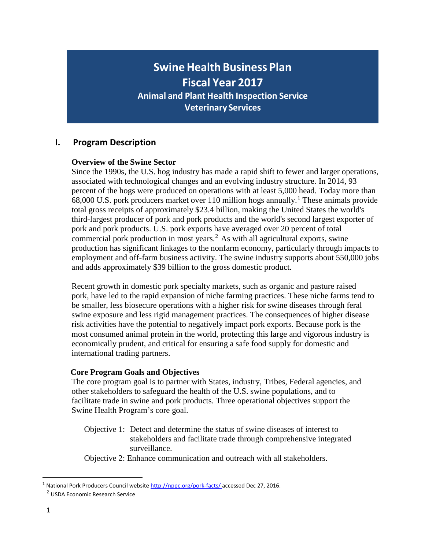# **Swine Health Business Plan Fiscal Year 2017 Animal and Plant Health Inspection Service Veterinary Services**

# **I. Program Description**

# **Overview of the Swine Sector**

Since the 1990s, the U.S. hog industry has made a rapid shift to fewer and larger operations, associated with technological changes and an evolving industry structure. In 2014, 93 percent of the hogs were produced on operations with at least 5,000 head. Today more than 68,000 U.S. pork producers market over [1](#page-0-0)10 million hogs annually.<sup>1</sup> These animals provide total gross receipts of approximately \$23.4 billion, making the United States the world's third-largest producer of pork and pork products and the world's second largest exporter of pork and pork products. U.S. pork exports have averaged over 20 percent of total commercial pork production in most years.<sup>[2](#page-0-1)</sup> As with all agricultural exports, swine production has significant linkages to the nonfarm economy, particularly through impacts to employment and off-farm business activity. The swine industry supports about 550,000 jobs and adds approximately \$39 billion to the gross domestic product.

Recent growth in domestic pork specialty markets, such as organic and pasture raised pork, have led to the rapid expansion of niche farming practices. These niche farms tend to be smaller, less biosecure operations with a higher risk for swine diseases through feral swine exposure and less rigid management practices. The consequences of higher disease risk activities have the potential to negatively impact pork exports. Because pork is the most consumed animal protein in the world, protecting this large and vigorous industry is economically prudent, and critical for ensuring a safe food supply for domestic and international trading partners.

### **Core Program Goals and Objectives**

The core program goal is to partner with States, industry, Tribes, Federal agencies, and other stakeholders to safeguard the health of the U.S. swine populations, and to facilitate trade in swine and pork products. Three operational objectives support the Swine Health Program's core goal.

Objective 1: Detect and determine the status of swine diseases of interest to stakeholders and facilitate trade through comprehensive integrated surveillance.

Objective 2: Enhance communication and outreach with all stakeholders.

<span id="page-0-1"></span><span id="page-0-0"></span><sup>&</sup>lt;sup>1</sup> National Pork Producers Council website [http://nppc.org/pork-facts/ a](http://nppc.org/pork-facts/)ccessed Dec 27, 2016.

<sup>2</sup> USDA Economic Research Service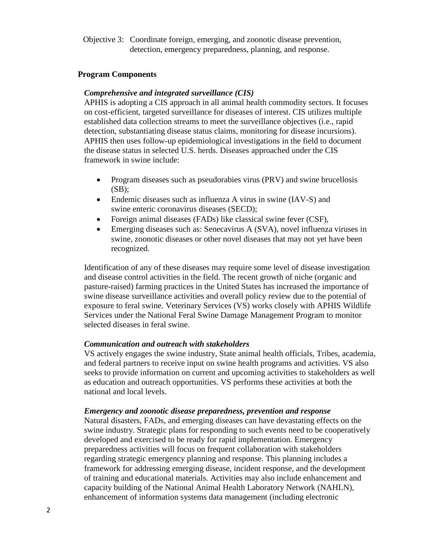Objective 3: Coordinate foreign, emerging, and zoonotic disease prevention, detection, emergency preparedness, planning, and response.

#### **Program Components**

#### *Comprehensive and integrated surveillance (CIS)*

APHIS is adopting a CIS approach in all animal health commodity sectors. It focuses on cost-efficient, targeted surveillance for diseases of interest. CIS utilizes multiple established data collection streams to meet the surveillance objectives (i.e., rapid detection, substantiating disease status claims, monitoring for disease incursions). APHIS then uses follow-up epidemiological investigations in the field to document the disease status in selected U.S. herds. Diseases approached under the CIS framework in swine include:

- Program diseases such as pseudorabies virus (PRV) and swine brucellosis  $(SB)$ ;
- Endemic diseases such as influenza A virus in swine (IAV-S) and swine enteric coronavirus diseases (SECD);
- Foreign animal diseases (FADs) like classical swine fever (CSF),
- Emerging diseases such as: Senecavirus A (SVA), novel influenza viruses in swine, zoonotic diseases or other novel diseases that may not yet have been recognized.

Identification of any of these diseases may require some level of disease investigation and disease control activities in the field. The recent growth of niche (organic and pasture-raised) farming practices in the United States has increased the importance of swine disease surveillance activities and overall policy review due to the potential of exposure to feral swine. Veterinary Services (VS) works closely with APHIS Wildlife Services under the National Feral Swine Damage Management Program to monitor selected diseases in feral swine.

### *Communication and outreach with stakeholders*

VS actively engages the swine industry, State animal health officials, Tribes, academia, and federal partners to receive input on swine health programs and activities. VS also seeks to provide information on current and upcoming activities to stakeholders as well as education and outreach opportunities. VS performs these activities at both the national and local levels.

#### *Emergency and zoonotic disease preparedness, prevention and response*

Natural disasters, FADs, and emerging diseases can have devastating effects on the swine industry. Strategic plans for responding to such events need to be cooperatively developed and exercised to be ready for rapid implementation. Emergency preparedness activities will focus on frequent collaboration with stakeholders regarding strategic emergency planning and response. This planning includes a framework for addressing emerging disease, incident response, and the development of training and educational materials. Activities may also include enhancement and capacity building of the National Animal Health Laboratory Network (NAHLN), enhancement of information systems data management (including electronic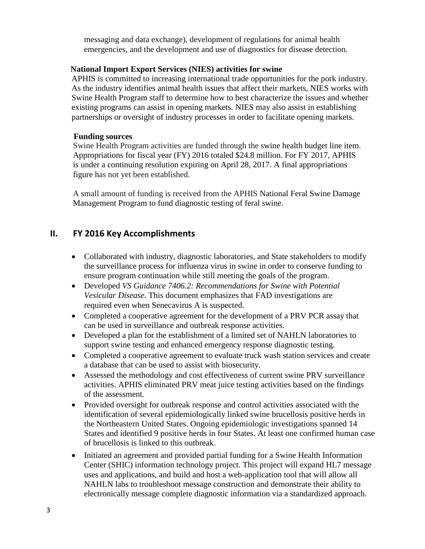messaging and data exchange), development of regulations for animal health emergencies, and the development and use of diagnostics for disease detection.

### **National Import Export Services (NIES) activities for swine**

APHIS is committed to increasing international trade opportunities for the pork industry. As the industry identifies animal health issues that affect their markets, NIES works with Swine Health Program staff to determine how to best characterize the issues and whether existing programs can assist in opening markets. NIES may also assist in establishing partnerships or oversight of industry processes in order to facilitate opening markets.

### **Funding sources**

Swine Health Program activities are funded through the swine health budget line item. Appropriations for fiscal year (FY) 2016 totaled \$24.8 million. For FY 2017, APHIS is under a continuing resolution expiring on April 28, 2017. A final appropriations figure has not yet been established.

A small amount of funding is received from the APHIS National Feral Swine Damage Management Program to fund diagnostic testing of feral swine.

# **II. FY 2016 Key Accomplishments**

- Collaborated with industry, diagnostic laboratories, and State stakeholders to modify the surveillance process for influenza virus in swine in order to conserve funding to ensure program continuation while still meeting the goals of the program.
- Developed *VS Guidance 7406.2: Recommendations for Swine with Potential Vesicular Disease*. This document emphasizes that FAD investigations are required even when Senecavirus A is suspected.
- Completed a cooperative agreement for the development of a PRV PCR assay that can be used in surveillance and outbreak response activities.
- Developed a plan for the establishment of a limited set of NAHLN laboratories to support swine testing and enhanced emergency response diagnostic testing.
- Completed a cooperative agreement to evaluate truck wash station services and create a database that can be used to assist with biosecurity.
- Assessed the methodology and cost effectiveness of current swine PRV surveillance activities. APHIS eliminated PRV meat juice testing activities based on the findings of the assessment.
- Provided oversight for outbreak response and control activities associated with the identification of several epidemiologically linked swine brucellosis positive herds in the Northeastern United States. Ongoing epidemiologic investigations spanned 14 States and identified 9 positive herds in four States. At least one confirmed human case of brucellosis is linked to this outbreak.
- Initiated an agreement and provided partial funding for a Swine Health Information Center (SHIC) information technology project. This project will expand HL7 message uses and applications, and build and host a web-application tool that will allow all NAHLN labs to troubleshoot message construction and demonstrate their ability to electronically message complete diagnostic information via a standardized approach.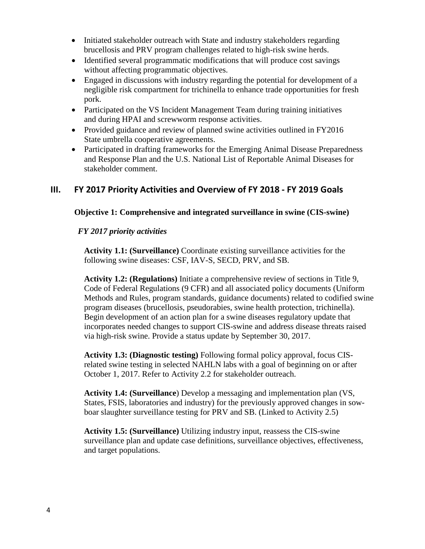- Initiated stakeholder outreach with State and industry stakeholders regarding brucellosis and PRV program challenges related to high-risk swine herds.
- Identified several programmatic modifications that will produce cost savings without affecting programmatic objectives.
- Engaged in discussions with industry regarding the potential for development of a negligible risk compartment for trichinella to enhance trade opportunities for fresh pork.
- Participated on the VS Incident Management Team during training initiatives and during HPAI and screwworm response activities.
- Provided guidance and review of planned swine activities outlined in FY2016 State umbrella cooperative agreements.
- Participated in drafting frameworks for the Emerging Animal Disease Preparedness and Response Plan and the U.S. National List of Reportable Animal Diseases for stakeholder comment.

# **III. FY 2017 Priority Activities and Overview of FY 2018 - FY 2019 Goals**

# **Objective 1: Comprehensive and integrated surveillance in swine (CIS-swine)**

# *FY 2017 priority activities*

**Activity 1.1: (Surveillance)** Coordinate existing surveillance activities for the following swine diseases: CSF, IAV-S, SECD, PRV, and SB.

**Activity 1.2: (Regulations)** Initiate a comprehensive review of sections in Title 9, Code of Federal Regulations (9 CFR) and all associated policy documents (Uniform Methods and Rules, program standards, guidance documents) related to codified swine program diseases (brucellosis, pseudorabies, swine health protection, trichinella). Begin development of an action plan for a swine diseases regulatory update that incorporates needed changes to support CIS-swine and address disease threats raised via high-risk swine. Provide a status update by September 30, 2017.

**Activity 1.3: (Diagnostic testing)** Following formal policy approval, focus CISrelated swine testing in selected NAHLN labs with a goal of beginning on or after October 1, 2017. Refer to Activity 2.2 for stakeholder outreach.

**Activity 1.4: (Surveillance**) Develop a messaging and implementation plan (VS, States, FSIS, laboratories and industry) for the previously approved changes in sowboar slaughter surveillance testing for PRV and SB. (Linked to Activity 2.5)

**Activity 1.5: (Surveillance)** Utilizing industry input, reassess the CIS-swine surveillance plan and update case definitions, surveillance objectives, effectiveness, and target populations.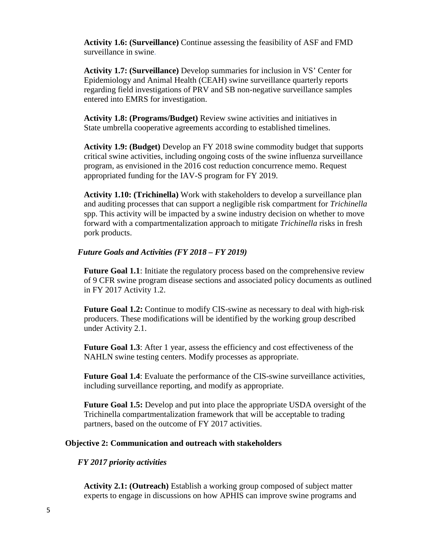**Activity 1.6: (Surveillance)** Continue assessing the feasibility of ASF and FMD surveillance in swine.

**Activity 1.7: (Surveillance)** Develop summaries for inclusion in VS' Center for Epidemiology and Animal Health (CEAH) swine surveillance quarterly reports regarding field investigations of PRV and SB non-negative surveillance samples entered into EMRS for investigation.

**Activity 1.8: (Programs/Budget)** Review swine activities and initiatives in State umbrella cooperative agreements according to established timelines.

**Activity 1.9: (Budget)** Develop an FY 2018 swine commodity budget that supports critical swine activities, including ongoing costs of the swine influenza surveillance program, as envisioned in the 2016 cost reduction concurrence memo. Request appropriated funding for the IAV-S program for FY 2019.

**Activity 1.10: (Trichinella)** Work with stakeholders to develop a surveillance plan and auditing processes that can support a negligible risk compartment for *Trichinella* spp. This activity will be impacted by a swine industry decision on whether to move forward with a compartmentalization approach to mitigate *Trichinella* risks in fresh pork products.

#### *Future Goals and Activities (FY 2018 – FY 2019)*

**Future Goal 1.1**: Initiate the regulatory process based on the comprehensive review of 9 CFR swine program disease sections and associated policy documents as outlined in FY 2017 Activity 1.2.

**Future Goal 1.2:** Continue to modify CIS-swine as necessary to deal with high-risk producers. These modifications will be identified by the working group described under Activity 2.1.

**Future Goal 1.3**: After 1 year, assess the efficiency and cost effectiveness of the NAHLN swine testing centers. Modify processes as appropriate.

**Future Goal 1.4**: Evaluate the performance of the CIS-swine surveillance activities, including surveillance reporting, and modify as appropriate.

**Future Goal 1.5:** Develop and put into place the appropriate USDA oversight of the Trichinella compartmentalization framework that will be acceptable to trading partners, based on the outcome of FY 2017 activities.

#### **Objective 2: Communication and outreach with stakeholders**

#### *FY 2017 priority activities*

**Activity 2.1: (Outreach)** Establish a working group composed of subject matter experts to engage in discussions on how APHIS can improve swine programs and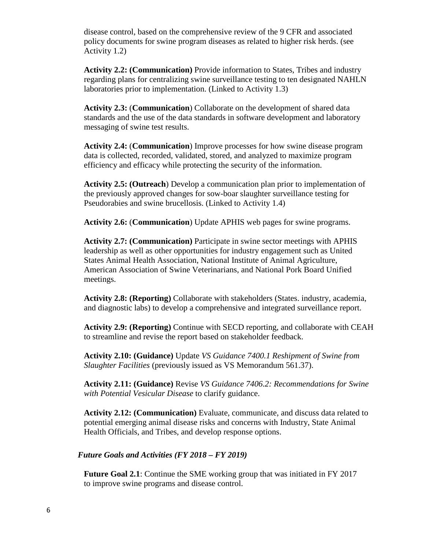disease control, based on the comprehensive review of the 9 CFR and associated policy documents for swine program diseases as related to higher risk herds. (see Activity 1.2)

**Activity 2.2: (Communication)** Provide information to States, Tribes and industry regarding plans for centralizing swine surveillance testing to ten designated NAHLN laboratories prior to implementation. (Linked to Activity 1.3)

**Activity 2.3:** (**Communication**) Collaborate on the development of shared data standards and the use of the data standards in software development and laboratory messaging of swine test results.

**Activity 2.4:** (**Communication**) Improve processes for how swine disease program data is collected, recorded, validated, stored, and analyzed to maximize program efficiency and efficacy while protecting the security of the information.

**Activity 2.5: (Outreach**) Develop a communication plan prior to implementation of the previously approved changes for sow-boar slaughter surveillance testing for Pseudorabies and swine brucellosis. (Linked to Activity 1.4)

**Activity 2.6:** (**Communication**) Update APHIS web pages for swine programs.

**Activity 2.7: (Communication)** Participate in swine sector meetings with APHIS leadership as well as other opportunities for industry engagement such as United States Animal Health Association, National Institute of Animal Agriculture, American Association of Swine Veterinarians, and National Pork Board Unified meetings.

**Activity 2.8: (Reporting)** Collaborate with stakeholders (States. industry, academia, and diagnostic labs) to develop a comprehensive and integrated surveillance report.

**Activity 2.9: (Reporting)** Continue with SECD reporting, and collaborate with CEAH to streamline and revise the report based on stakeholder feedback.

**Activity 2.10: (Guidance)** Update *VS Guidance 7400.1 Reshipment of Swine from Slaughter Facilities* (previously issued as VS Memorandum 561.37).

**Activity 2.11: (Guidance)** Revise *VS Guidance 7406.2: Recommendations for Swine with Potential Vesicular Disease* to clarify guidance.

**Activity 2.12: (Communication)** Evaluate, communicate, and discuss data related to potential emerging animal disease risks and concerns with Industry, State Animal Health Officials, and Tribes, and develop response options.

### *Future Goals and Activities (FY 2018 – FY 2019)*

**Future Goal 2.1**: Continue the SME working group that was initiated in FY 2017 to improve swine programs and disease control.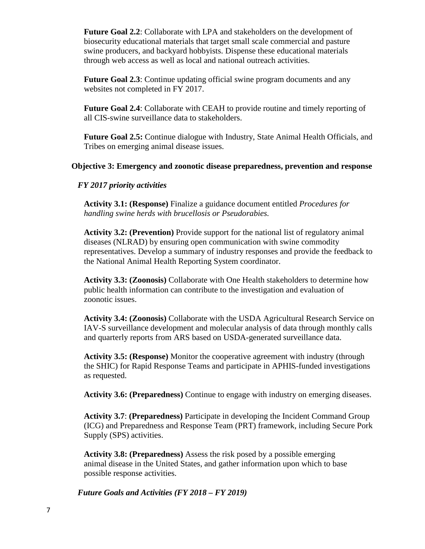**Future Goal 2.2**: Collaborate with LPA and stakeholders on the development of biosecurity educational materials that target small scale commercial and pasture swine producers, and backyard hobbyists. Dispense these educational materials through web access as well as local and national outreach activities.

**Future Goal 2.3:** Continue updating official swine program documents and any websites not completed in FY 2017.

**Future Goal 2.4**: Collaborate with CEAH to provide routine and timely reporting of all CIS-swine surveillance data to stakeholders.

**Future Goal 2.5:** Continue dialogue with Industry, State Animal Health Officials, and Tribes on emerging animal disease issues.

### **Objective 3: Emergency and zoonotic disease preparedness, prevention and response**

### *FY 2017 priority activities*

**Activity 3.1: (Response)** Finalize a guidance document entitled *Procedures for handling swine herds with brucellosis or Pseudorabies.*

**Activity 3.2: (Prevention)** Provide support for the national list of regulatory animal diseases (NLRAD) by ensuring open communication with swine commodity representatives. Develop a summary of industry responses and provide the feedback to the National Animal Health Reporting System coordinator.

**Activity 3.3: (Zoonosis)** Collaborate with One Health stakeholders to determine how public health information can contribute to the investigation and evaluation of zoonotic issues.

**Activity 3.4: (Zoonosis)** Collaborate with the USDA Agricultural Research Service on IAV-S surveillance development and molecular analysis of data through monthly calls and quarterly reports from ARS based on USDA-generated surveillance data.

**Activity 3.5: (Response)** Monitor the cooperative agreement with industry (through the SHIC) for Rapid Response Teams and participate in APHIS-funded investigations as requested.

**Activity 3.6: (Preparedness)** Continue to engage with industry on emerging diseases.

**Activity 3.7**: **(Preparedness)** Participate in developing the Incident Command Group (ICG) and Preparedness and Response Team (PRT) framework, including Secure Pork Supply (SPS) activities.

**Activity 3.8: (Preparedness)** Assess the risk posed by a possible emerging animal disease in the United States, and gather information upon which to base possible response activities.

*Future Goals and Activities (FY 2018 – FY 2019)*